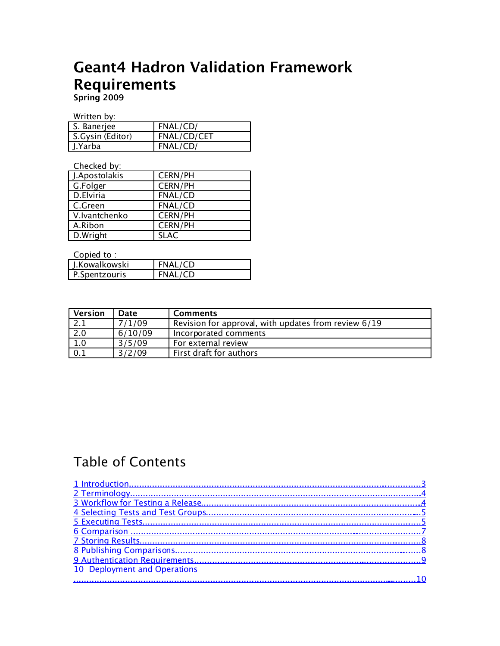# Geant4 Hadron Validation Framework Requirements

Spring 2009

Written by:

| S. Banerjee      | FNAL/CD/    |
|------------------|-------------|
| S.Gysin (Editor) | FNAL/CD/CET |
| J.Yarba          | FNAL/CD/    |

Checked by:

| J.Apostolakis | <b>CERN/PH</b> |
|---------------|----------------|
| G.Folger      | CERN/PH        |
| D.Elviria     | FNAL/CD        |
| C.Green       | FNAL/CD        |
| V.Ivantchenko | CERN/PH        |
| A.Ribon       | CERN/PH        |
| D.Wright      | <b>SLAC</b>    |

Copied to :

| J.Kowalkowski | FNAL/CD |
|---------------|---------|
| P.Spentzouris | FNAL/CD |

| <b>Version</b>   | Date    | <b>Comments</b>                                      |
|------------------|---------|------------------------------------------------------|
|                  | 7/1/09  | Revision for approval, with updates from review 6/19 |
| 2.0              | 6/10/09 | Incorporated comments                                |
| $\overline{1.0}$ | 3/5/09  | For external review                                  |
| 0.1              | 3/2/09  | First draft for authors                              |

#### Table of Contents

| 10 Deployment and Operations |
|------------------------------|
|                              |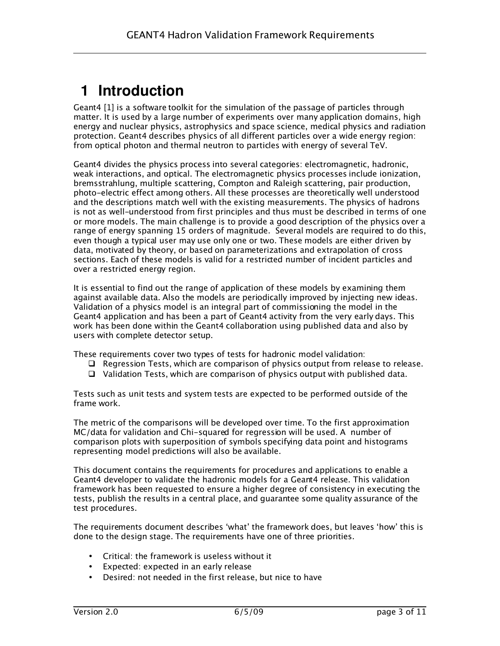## <span id="page-2-0"></span>**1 Introduction**

Geant4 [1] is a software toolkit for the simulation of the passage of particles through matter. It is used by a large number of experiments over many application domains, high energy and nuclear physics, astrophysics and space science, medical physics and radiation protection. Geant4 describes physics of all different particles over a wide energy region: from optical photon and thermal neutron to particles with energy of several TeV.

Geant4 divides the physics process into several categories: electromagnetic, hadronic, weak interactions, and optical. The electromagnetic physics processes include ionization, bremsstrahlung, multiple scattering, Compton and Raleigh scattering, pair production, photo-electric effect among others. All these processes are theoretically well understood and the descriptions match well with the existing measurements. The physics of hadrons is not as well-understood from first principles and thus must be described in terms of one or more models. The main challenge is to provide a good description of the physics over a range of energy spanning 15 orders of magnitude. Several models are required to do this, even though a typical user may use only one or two. These models are either driven by data, motivated by theory, or based on parameterizations and extrapolation of cross sections. Each of these models is valid for a restricted number of incident particles and over a restricted energy region.

It is essential to find out the range of application of these models by examining them against available data. Also the models are periodically improved by injecting new ideas. Validation of a physics model is an integral part of commissioning the model in the Geant4 application and has been a part of Geant4 activity from the very early days. This work has been done within the Geant4 collaboration using published data and also by users with complete detector setup.

These requirements cover two types of tests for hadronic model validation:

- $\Box$  Regression Tests, which are comparison of physics output from release to release.
- $\Box$  Validation Tests, which are comparison of physics output with published data.

Tests such as unit tests and system tests are expected to be performed outside of the frame work.

The metric of the comparisons will be developed over time. To the first approximation MC/data for validation and Chi-squared for regression will be used. A number of comparison plots with superposition of symbols specifying data point and histograms representing model predictions will also be available.

This document contains the requirements for procedures and applications to enable a Geant4 developer to validate the hadronic models for a Geant4 release. This validation framework has been requested to ensure a higher degree of consistency in executing the tests, publish the results in a central place, and guarantee some quality assurance of the test procedures.

The requirements document describes 'what' the framework does, but leaves 'how' this is done to the design stage. The requirements have one of three priorities.

- Critical: the framework is useless without it
- Expected: expected in an early release
- Desired: not needed in the first release, but nice to have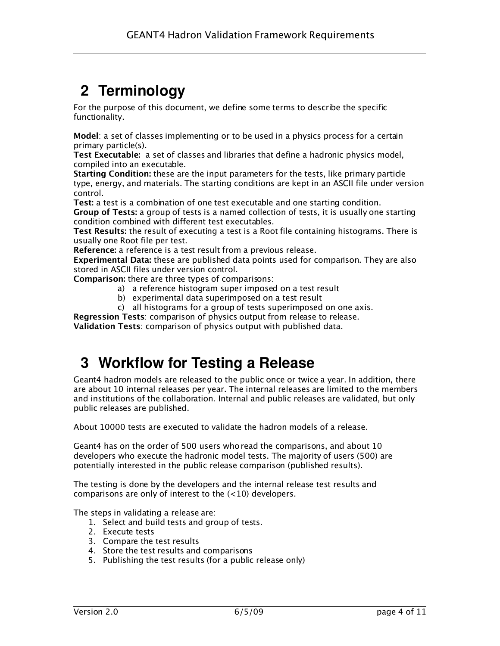# <span id="page-3-1"></span>**2 Terminology**

For the purpose of this document, we define some terms to describe the specific functionality.

Model: a set of classes implementing or to be used in a physics process for a certain primary particle(s).

Test Executable: a set of classes and libraries that define a hadronic physics model, compiled into an executable.

Starting Condition: these are the input parameters for the tests, like primary particle type, energy, and materials. The starting conditions are kept in an ASCII file under version control.

Test: a test is a combination of one test executable and one starting condition.

Group of Tests: a group of tests is a named collection of tests, it is usually one starting condition combined with different test executables.

Test Results: the result of executing a test is a Root file containing histograms. There is usually one Root file per test.

Reference: a reference is a test result from a previous release.

Experimental Data: these are published data points used for comparison. They are also stored in ASCII files under version control.

Comparison: there are three types of comparisons:

- a) a reference histogram super imposed on a test result
- b) experimental data superimposed on a test result
- c) all histograms for a group of tests superimposed on one axis.

Regression Tests: comparison of physics output from release to release.

Validation Tests: comparison of physics output with published data.

#### <span id="page-3-0"></span>**3 Workflow for Testing a Release**

Geant4 hadron models are released to the public once or twice a year. In addition, there are about 10 internal releases per year. The internal releases are limited to the members and institutions of the collaboration. Internal and public releases are validated, but only public releases are published.

About 10000 tests are executed to validate the hadron models of a release.

Geant4 has on the order of 500 users who read the comparisons, and about 10 developers who execute the hadronic model tests. The majority of users (500) are potentially interested in the public release comparison (published results).

The testing is done by the developers and the internal release test results and comparisons are only of interest to the  $(<10)$  developers.

The steps in validating a release are:

- 1. Select and build tests and group of tests.
- 2. Execute tests
- <span id="page-3-2"></span>3. Compare the test results
- 4. Store the test results and comparisons
- 5. Publishing the test results (for a public release only)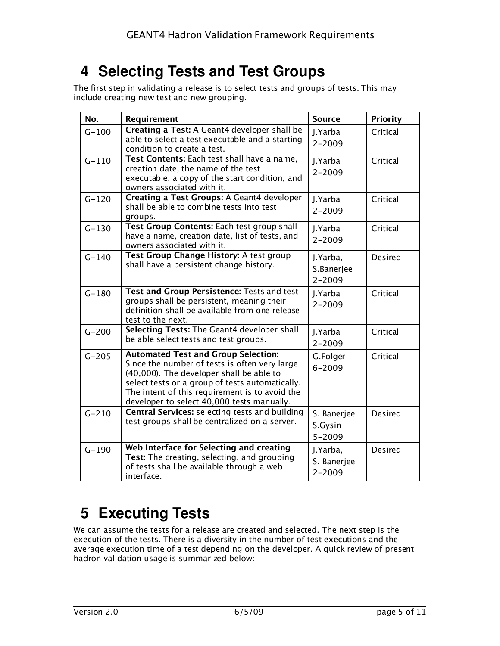#### <span id="page-4-1"></span>**4 Selecting Tests and Test Groups**

The first step in validating a release is to select tests and groups of tests. This may include creating new test and new grouping.

| No.       | Requirement                                                                                                                                                                                                                                                                                | <b>Source</b>                         | <b>Priority</b> |
|-----------|--------------------------------------------------------------------------------------------------------------------------------------------------------------------------------------------------------------------------------------------------------------------------------------------|---------------------------------------|-----------------|
| $G - 100$ | Creating a Test: A Geant4 developer shall be<br>able to select a test executable and a starting<br>condition to create a test.                                                                                                                                                             | J.Yarba<br>$2 - 2009$                 | Critical        |
| $G - 110$ | Test Contents: Each test shall have a name,<br>creation date, the name of the test<br>executable, a copy of the start condition, and<br>owners associated with it.                                                                                                                         | J.Yarba<br>$2 - 2009$                 | Critical        |
| $G - 120$ | Creating a Test Groups: A Geant4 developer<br>shall be able to combine tests into test<br>groups.                                                                                                                                                                                          | J.Yarba<br>$2 - 2009$                 | Critical        |
| $G - 130$ | Test Group Contents: Each test group shall<br>have a name, creation date, list of tests, and<br>owners associated with it.                                                                                                                                                                 | J.Yarba<br>$2 - 2009$                 | Critical        |
| $G - 140$ | Test Group Change History: A test group<br>shall have a persistent change history.                                                                                                                                                                                                         | J.Yarba,<br>S.Banerjee<br>$2 - 2009$  | <b>Desired</b>  |
| $G - 180$ | Test and Group Persistence: Tests and test<br>groups shall be persistent, meaning their<br>definition shall be available from one release<br>test to the next.                                                                                                                             | J.Yarba<br>$2 - 2009$                 | Critical        |
| $G - 200$ | Selecting Tests: The Geant4 developer shall<br>be able select tests and test groups.                                                                                                                                                                                                       | J.Yarba<br>$2 - 2009$                 | Critical        |
| $G - 205$ | <b>Automated Test and Group Selection:</b><br>Since the number of tests is often very large<br>(40,000). The developer shall be able to<br>select tests or a group of tests automatically.<br>The intent of this requirement is to avoid the<br>developer to select 40,000 tests manually. | G.Folger<br>$6 - 2009$                | Critical        |
| $G - 210$ | <b>Central Services: selecting tests and building</b><br>test groups shall be centralized on a server.                                                                                                                                                                                     | S. Banerjee<br>S.Gysin<br>$5 - 2009$  | <b>Desired</b>  |
| $G - 190$ | Web Interface for Selecting and creating<br>Test: The creating, selecting, and grouping<br>of tests shall be available through a web<br>interface.                                                                                                                                         | J.Yarba,<br>S. Banerjee<br>$2 - 2009$ | <b>Desired</b>  |

# <span id="page-4-0"></span>**5 Executing Tests**

We can assume the tests for a release are created and selected. The next step is the execution of the tests. There is a diversity in the number of test executions and the average execution time of a test depending on the developer. A quick review of present hadron validation usage is summarized below: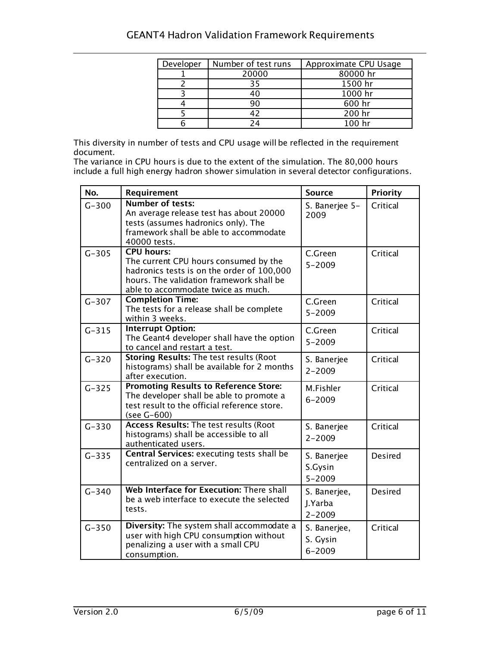| Developer | Number of test runs | Approximate CPU Usage |
|-----------|---------------------|-----------------------|
|           | 20000               | 80000 hr              |
|           | 35                  | 1500 hr               |
|           | 40                  | 1000 hr               |
|           | 90                  | 600 hr                |
|           | 12                  | 200 hr                |
|           | 24                  | 100 hr                |

This diversity in number of tests and CPU usage will be reflected in the requirement document.

The variance in CPU hours is due to the extent of the simulation. The 80,000 hours include a full high energy hadron shower simulation in several detector configurations.

| No.       | Requirement                                                                                                                                                                                | <b>Source</b>                          | <b>Priority</b> |
|-----------|--------------------------------------------------------------------------------------------------------------------------------------------------------------------------------------------|----------------------------------------|-----------------|
| $G - 300$ | <b>Number of tests:</b><br>An average release test has about 20000<br>tests (assumes hadronics only). The<br>framework shall be able to accommodate<br>40000 tests.                        | S. Banerjee 5-<br>2009                 | Critical        |
| $G - 305$ | <b>CPU hours:</b><br>The current CPU hours consumed by the<br>hadronics tests is on the order of 100,000<br>hours. The validation framework shall be<br>able to accommodate twice as much. | C.Green<br>$5 - 2009$                  | Critical        |
| $G - 307$ | <b>Completion Time:</b><br>The tests for a release shall be complete<br>within 3 weeks.                                                                                                    | C.Green<br>$5 - 2009$                  | Critical        |
| $G - 315$ | <b>Interrupt Option:</b><br>The Geant4 developer shall have the option<br>to cancel and restart a test.                                                                                    | C.Green<br>$5 - 2009$                  | Critical        |
| $G - 320$ | <b>Storing Results: The test results (Root</b><br>histograms) shall be available for 2 months<br>after execution.                                                                          | S. Banerjee<br>$2 - 2009$              | Critical        |
| $G - 325$ | <b>Promoting Results to Reference Store:</b><br>The developer shall be able to promote a<br>test result to the official reference store.<br>(see G-600)                                    | M.Fishler<br>$6 - 2009$                | Critical        |
| $G - 330$ | <b>Access Results: The test results (Root</b><br>histograms) shall be accessible to all<br>authenticated users.                                                                            | S. Banerjee<br>$2 - 2009$              | Critical        |
| $G - 335$ | Central Services: executing tests shall be<br>centralized on a server.                                                                                                                     | S. Banerjee<br>S.Gysin<br>$5 - 2009$   | Desired         |
| $G - 340$ | Web Interface for Execution: There shall<br>be a web interface to execute the selected<br>tests.                                                                                           | S. Banerjee,<br>J.Yarba<br>$2 - 2009$  | <b>Desired</b>  |
| $G - 350$ | Diversity: The system shall accommodate a<br>user with high CPU consumption without<br>penalizing a user with a small CPU<br>consumption.                                                  | S. Banerjee,<br>S. Gysin<br>$6 - 2009$ | Critical        |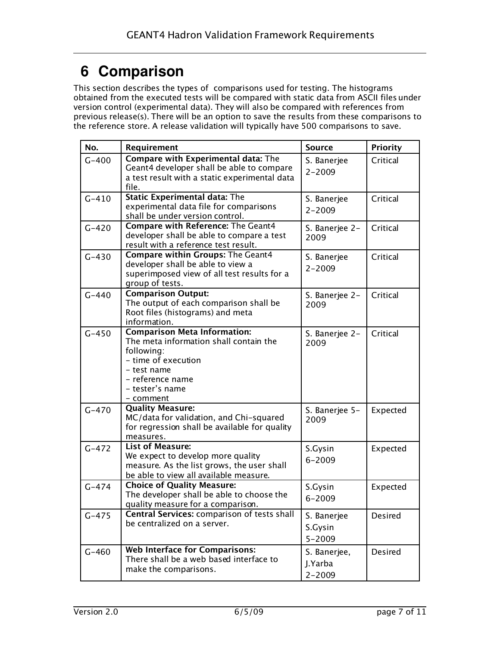## <span id="page-6-0"></span>**6 Comparison**

This section describes the types of comparisons used for testing. The histograms obtained from the executed tests will be compared with static data from ASCII files under version control (experimental data). They will also be compared with references from previous release(s). There will be an option to save the results from these comparisons to the reference store. A release validation will typically have 500 comparisons to save.

| No.       | Requirement                                                                                                                                                                           | <b>Source</b>                         | <b>Priority</b> |
|-----------|---------------------------------------------------------------------------------------------------------------------------------------------------------------------------------------|---------------------------------------|-----------------|
| $G - 400$ | <b>Compare with Experimental data: The</b><br>Geant4 developer shall be able to compare<br>a test result with a static experimental data<br>file.                                     | S. Banerjee<br>$2 - 2009$             | Critical        |
| $G - 410$ | <b>Static Experimental data: The</b><br>experimental data file for comparisons<br>shall be under version control.                                                                     | S. Banerjee<br>$2 - 2009$             | Critical        |
| $G - 420$ | Compare with Reference: The Geant4<br>developer shall be able to compare a test<br>result with a reference test result.                                                               | S. Banerjee 2-<br>2009                | Critical        |
| $G - 430$ | <b>Compare within Groups: The Geant4</b><br>developer shall be able to view a<br>superimposed view of all test results for a<br>group of tests.                                       | S. Banerjee<br>$2 - 2009$             | Critical        |
| $G - 440$ | <b>Comparison Output:</b><br>The output of each comparison shall be<br>Root files (histograms) and meta<br>information.                                                               | S. Banerjee 2-<br>2009                | Critical        |
| $G - 450$ | <b>Comparison Meta Information:</b><br>The meta information shall contain the<br>following:<br>- time of execution<br>- test name<br>- reference name<br>- tester's name<br>- comment | S. Banerjee 2-<br>2009                | Critical        |
| $G - 470$ | <b>Quality Measure:</b><br>MC/data for validation, and Chi-squared<br>for regression shall be available for quality<br>measures.                                                      | S. Banerjee 5-<br>2009                | Expected        |
| $G - 472$ | <b>List of Measure:</b><br>We expect to develop more quality<br>measure. As the list grows, the user shall<br>be able to view all available measure.                                  | S.Gysin<br>$6 - 2009$                 | Expected        |
| $G - 474$ | <b>Choice of Quality Measure:</b><br>The developer shall be able to choose the<br>quality measure for a comparison.                                                                   | S.Gysin<br>$6 - 2009$                 | Expected        |
| $G - 475$ | Central Services: comparison of tests shall<br>be centralized on a server.                                                                                                            | S. Banerjee<br>S.Gysin<br>$5 - 2009$  | Desired         |
| $G - 460$ | <b>Web Interface for Comparisons:</b><br>There shall be a web based interface to<br>make the comparisons.                                                                             | S. Banerjee,<br>J.Yarba<br>$2 - 2009$ | Desired         |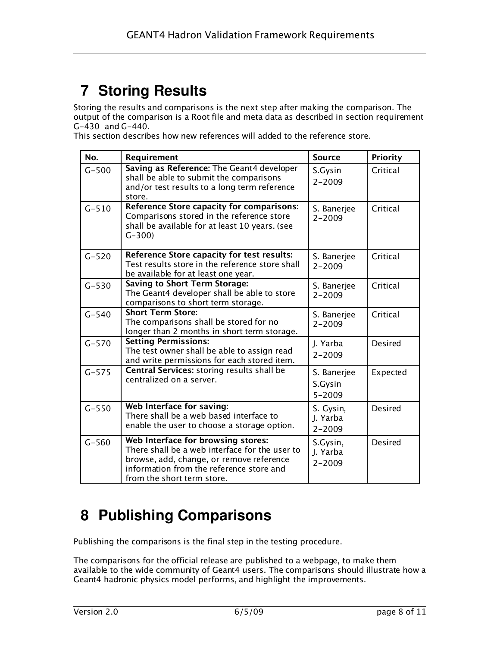# <span id="page-7-1"></span>**7 Storing Results**

Storing the results and comparisons is the next step after making the comparison. The output of the comparison is a Root file and meta data as described in section requirement G-430 and G-440.

This section describes how new references will added to the reference store.

| No.       | Requirement                                                                                                                                                                                                | <b>Source</b>                        | <b>Priority</b> |
|-----------|------------------------------------------------------------------------------------------------------------------------------------------------------------------------------------------------------------|--------------------------------------|-----------------|
| $G - 500$ | Saving as Reference: The Geant4 developer<br>shall be able to submit the comparisons<br>and/or test results to a long term reference<br>store.                                                             | S.Gysin<br>$2 - 2009$                | Critical        |
| $G - 510$ | Reference Store capacity for comparisons:<br>Comparisons stored in the reference store<br>shall be available for at least 10 years. (see<br>$G - 300$                                                      | S. Banerjee<br>$2 - 2009$            | Critical        |
| $G - 520$ | Reference Store capacity for test results:<br>Test results store in the reference store shall<br>be available for at least one year.                                                                       | S. Banerjee<br>$2 - 2009$            | Critical        |
| $G - 530$ | <b>Saving to Short Term Storage:</b><br>The Geant4 developer shall be able to store<br>comparisons to short term storage.                                                                                  | S. Banerjee<br>$2 - 2009$            | Critical        |
| $G - 540$ | <b>Short Term Store:</b><br>The comparisons shall be stored for no<br>longer than 2 months in short term storage.                                                                                          | S. Banerjee<br>$2 - 2009$            | Critical        |
| $G - 570$ | <b>Setting Permissions:</b><br>The test owner shall be able to assign read<br>and write permissions for each stored item.                                                                                  | J. Yarba<br>$2 - 2009$               | <b>Desired</b>  |
| $G - 575$ | Central Services: storing results shall be<br>centralized on a server.                                                                                                                                     | S. Banerjee<br>S.Gysin<br>$5 - 2009$ | Expected        |
| $G - 550$ | Web Interface for saving:<br>There shall be a web based interface to<br>enable the user to choose a storage option.                                                                                        | S. Gysin,<br>J. Yarba<br>$2 - 2009$  | <b>Desired</b>  |
| $G - 560$ | Web Interface for browsing stores:<br>There shall be a web interface for the user to<br>browse, add, change, or remove reference<br>information from the reference store and<br>from the short term store. | S.Gysin,<br>J. Yarba<br>$2 - 2009$   | <b>Desired</b>  |

#### <span id="page-7-0"></span>**8 Publishing Comparisons**

Publishing the comparisons is the final step in the testing procedure.

The comparisons for the official release are published to a webpage, to make them available to the wide community of Geant4 users. The comparisons should illustrate how a Geant4 hadronic physics model performs, and highlight the improvements.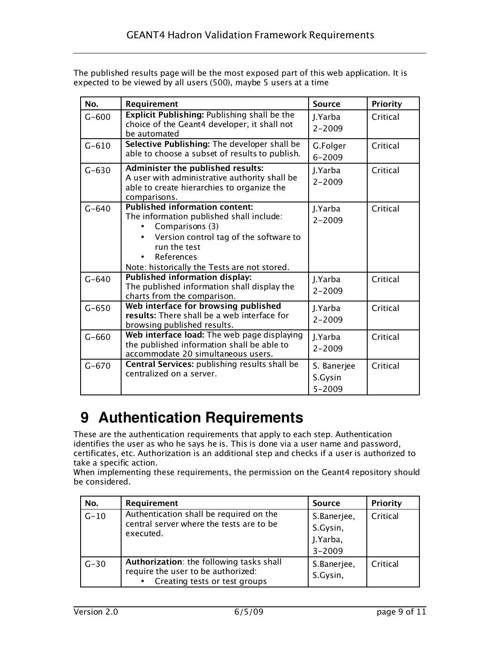| The published results page will be the most exposed part of this web application. It is |  |
|-----------------------------------------------------------------------------------------|--|
| expected to be viewed by all users (500), maybe 5 users at a time                       |  |

| No.       | Requirement                                                                                                                                                                                                                  | <b>Source</b>                        | Priority |
|-----------|------------------------------------------------------------------------------------------------------------------------------------------------------------------------------------------------------------------------------|--------------------------------------|----------|
| $G - 600$ | Explicit Publishing: Publishing shall be the<br>choice of the Geant4 developer, it shall not<br>be automated                                                                                                                 | J.Yarba<br>$2 - 2009$                | Critical |
| $G - 610$ | Selective Publishing: The developer shall be<br>able to choose a subset of results to publish.                                                                                                                               | G.Folger<br>$6 - 2009$               | Critical |
| $G - 630$ | Administer the published results:<br>A user with administrative authority shall be<br>able to create hierarchies to organize the<br>comparisons.                                                                             | J.Yarba<br>$2 - 2009$                | Critical |
| $G - 640$ | <b>Published information content:</b><br>The information published shall include:<br>Comparisons (3)<br>Version control tag of the software to<br>run the test<br>References<br>Note: historically the Tests are not stored. | J.Yarba<br>$2 - 2009$                | Critical |
| $G - 640$ | <b>Published information display:</b><br>The published information shall display the<br>charts from the comparison.                                                                                                          | J.Yarba<br>$2 - 2009$                | Critical |
| $G - 650$ | Web interface for browsing published<br>results: There shall be a web interface for<br>browsing published results.                                                                                                           | J.Yarba<br>$2 - 2009$                | Critical |
| $G - 660$ | Web interface load: The web page displaying<br>the published information shall be able to<br>accommodate 20 simultaneous users.                                                                                              | J.Yarba<br>$2 - 2009$                | Critical |
| $G - 670$ | Central Services: publishing results shall be<br>centralized on a server.                                                                                                                                                    | S. Banerjee<br>S.Gysin<br>$5 - 2009$ | Critical |

# <span id="page-8-0"></span>**9 Authentication Requirements**

These are the authentication requirements that apply to each step. Authentication identifies the user as who he says he is. This is done via a user name and password, certificates, etc. Authorization is an additional step and checks if a user is authorized to take a specific action.

When implementing these requirements, the permission on the Geant4 repository should be considered.

| No.      | Requirement                                                                                                                  | <b>Source</b>                                     | <b>Priority</b> |
|----------|------------------------------------------------------------------------------------------------------------------------------|---------------------------------------------------|-----------------|
| $G-10$   | Authentication shall be required on the<br>central server where the tests are to be<br>executed.                             | S.Banerjee,<br>S.Gysin,<br>J.Yarba,<br>$3 - 2009$ | Critical        |
| $G - 30$ | Authorization: the following tasks shall<br>require the user to be authorized:<br>Creating tests or test groups<br>$\bullet$ | S.Banerjee,<br>S.Gysin,                           | Critical        |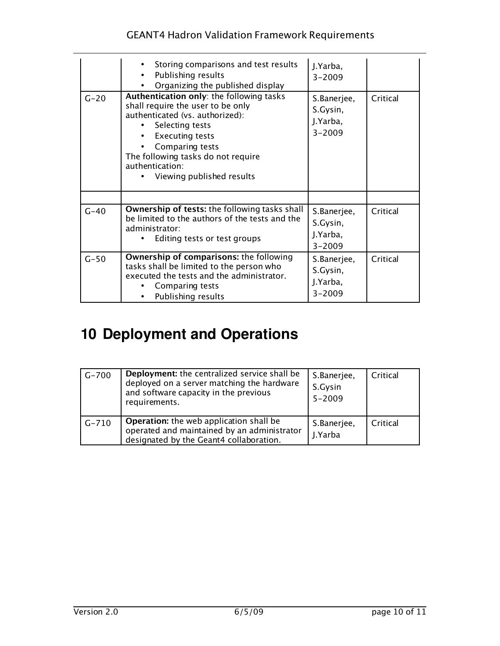#### GEANT4 Hadron Validation Framework Requirements

|        | Storing comparisons and test results<br>Publishing results<br>Organizing the published display                                                                                                                                                                         | J.Yarba,<br>$3 - 2009$                            |          |
|--------|------------------------------------------------------------------------------------------------------------------------------------------------------------------------------------------------------------------------------------------------------------------------|---------------------------------------------------|----------|
| $G-20$ | Authentication only: the following tasks<br>shall require the user to be only<br>authenticated (vs. authorized):<br>Selecting tests<br><b>Executing tests</b><br>Comparing tests<br>The following tasks do not require<br>authentication:<br>Viewing published results | S.Banerjee,<br>S.Gysin,<br>J.Yarba,<br>$3 - 2009$ | Critical |
| $G-40$ | <b>Ownership of tests:</b> the following tasks shall<br>be limited to the authors of the tests and the<br>administrator:<br>Editing tests or test groups                                                                                                               | S.Banerjee,<br>S.Gysin,<br>J.Yarba,<br>$3 - 2009$ | Critical |
| $G-50$ | Ownership of comparisons: the following<br>tasks shall be limited to the person who<br>executed the tests and the administrator.<br>Comparing tests<br>Publishing results                                                                                              | S.Banerjee,<br>S.Gysin,<br>J.Yarba,<br>$3 - 2009$ | Critical |

# <span id="page-9-0"></span>**10 Deployment and Operations**

| $G - 700$ | Deployment: the centralized service shall be<br>deployed on a server matching the hardware<br>and software capacity in the previous<br>requirements. | S.Banerjee,<br>S.Gysin<br>$5 - 2009$ | Critical |
|-----------|------------------------------------------------------------------------------------------------------------------------------------------------------|--------------------------------------|----------|
| $G - 710$ | <b>Operation:</b> the web application shall be<br>operated and maintained by an administrator<br>designated by the Geant4 collaboration.             | S.Banerjee,<br>J.Yarba               | Critical |